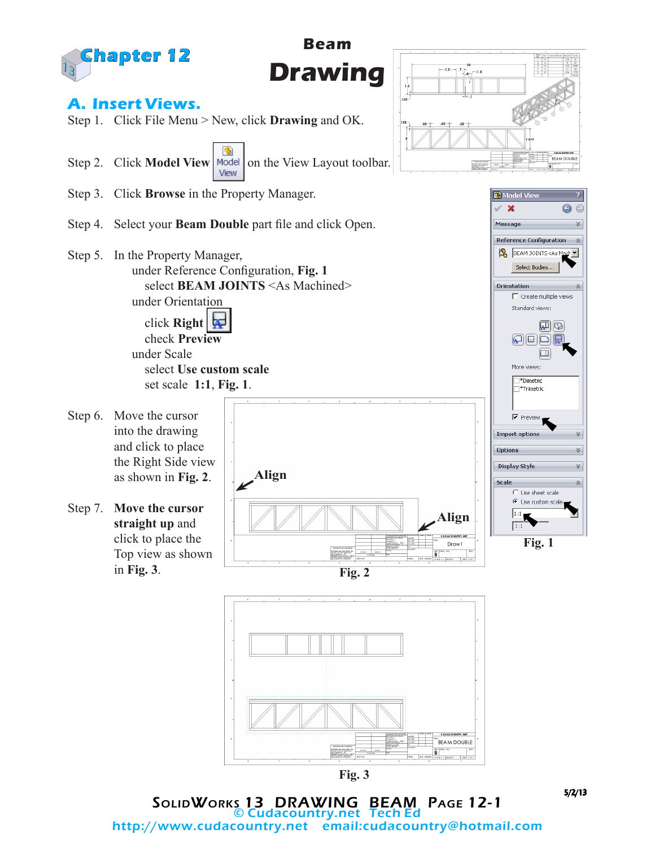

SolidWorks 13 DRAWING BEAM Page 12-1 © Cudacountry.net Tech Ed http://www.cudacountry.net email:cudacountry@hotmail.com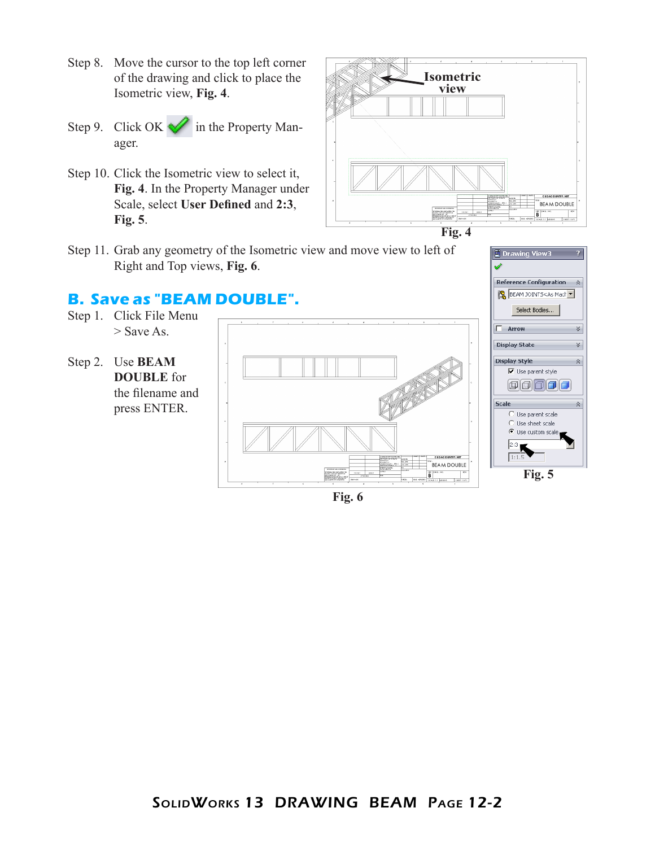- Step 8. Move the cursor to the top left corner of the drawing and click to place the Isometric view, **Fig. 4**.
- Step 9. Click OK in the Property Manager.
- Step 10. Click the Isometric view to select it, **Fig. 4**. In the Property Manager under Scale, select **User Defined** and **2:3**, **Fig. 5**.





**B** Drawing View3

 $\Box$  Arrow

Reference Configuration  $-\hat{\otimes}$ BEAM JOINTS<As Mach Select Bodies...

Step 11. Grab any geometry of the Isometric view and move view to left of Right and Top views, **Fig. 6**.

#### **B. Save as "BEAM DOUBLE".**

Step 1. Click File Menu > Save As.



**Fig. 6**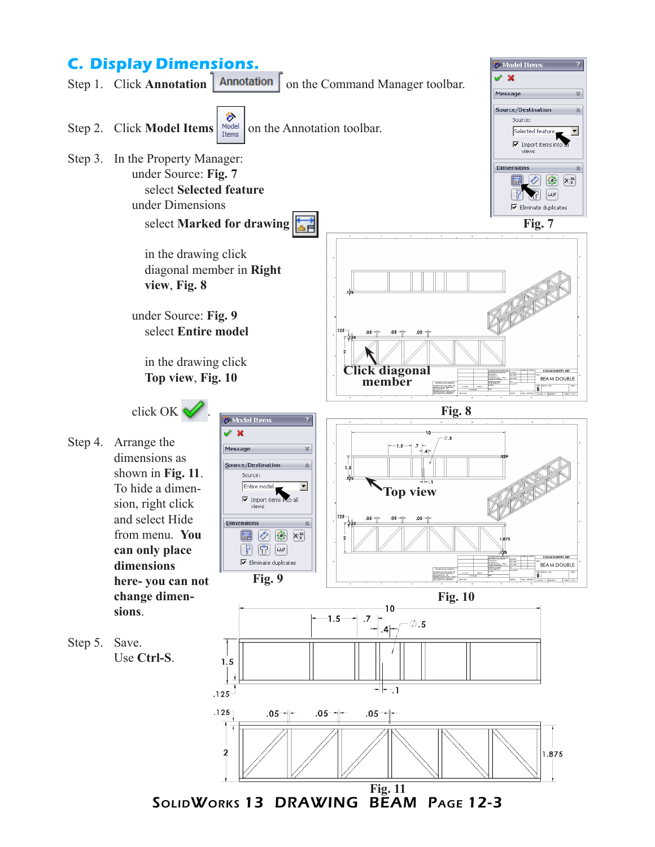## **C. Display Dimensions.**



Model Items

 $\overline{?}$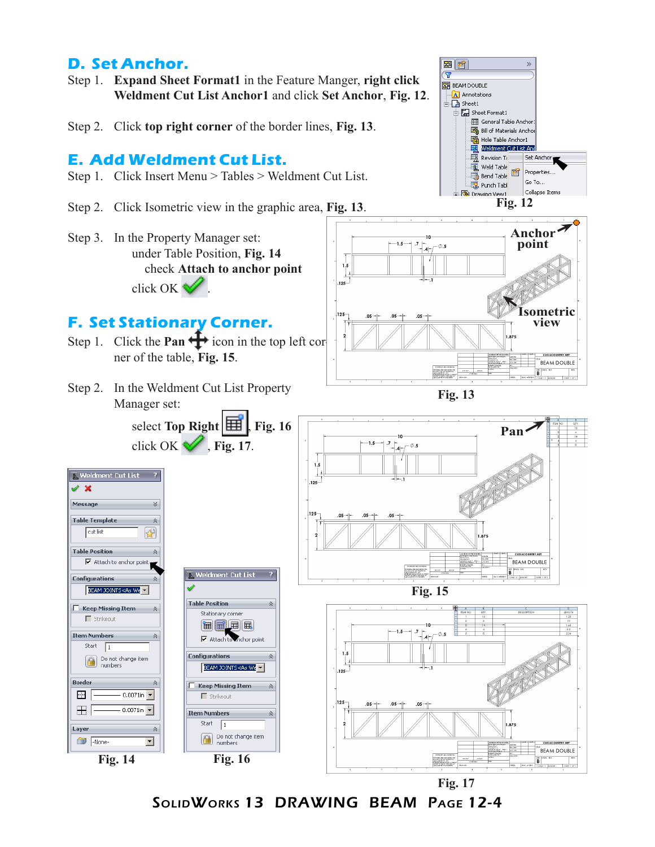### **D. Set Anchor.**

Step 1. **Expand Sheet Format1** in the Feature Manger, **right click Weldment Cut List Anchor1** and click **Set Anchor**, **Fig. 12**.

Step 2. Click **top right corner** of the border lines, **Fig. 13**.

### **E. Add Weldment Cut List.**

- Step 1. Click Insert Menu > Tables > Weldment Cut List.
- Step 2. Click Isometric view in the graphic area, **Fig. 13**.
- Step 3. In the Property Manager set: under Table Position, **Fig. 14** check **Attach to anchor point** click OK  $\vee$ .

# **F. Set Stationary Corner.**

- Step 1. Click the **Pan**  $\frac{1}{\sqrt{1}}$  icon in the top left corner of the table, **Fig. 15**.
- Step 2. In the Weldment Cut List Property Manager set:



**图 商** 

 $\overline{\mathbf{v}}$ **图** BEAM DOUBLE **A** Annotations  $\Box$  Sheet1 中国 Sheet Format1  $\rightarrow$ 

Set Ancho

 $GoTo...$ 

Collapse Items

General Table Anchor Bill of Materials Anchor Hole Table Anchor1 Weldment Cut List An Revision Ta

Weld Table

.<br>Bend Table

Punch Tabl

商 Propertie





SolidWorks 13 DRAWING BEAM Page 12-4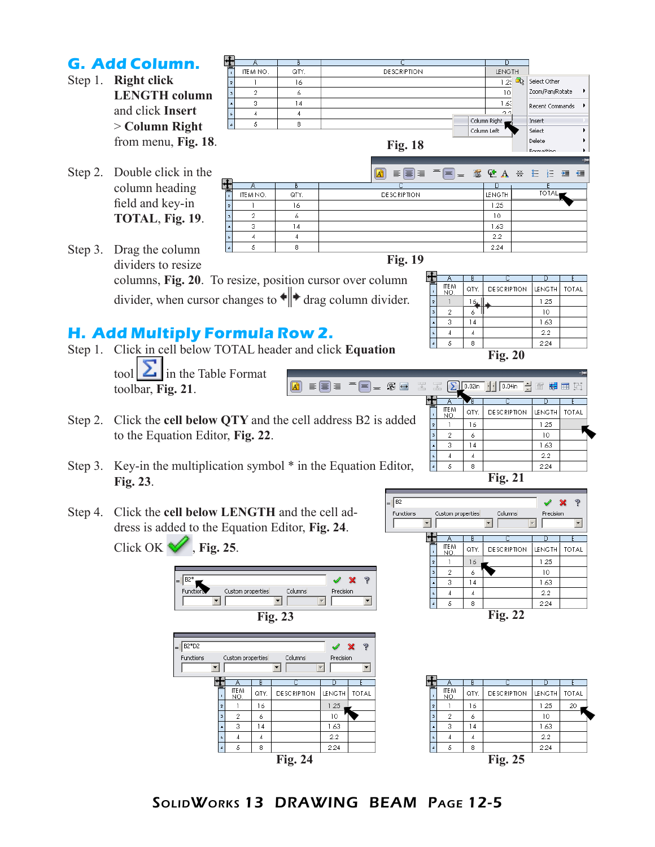

SolidWorks 13 DRAWING BEAM Page 12-5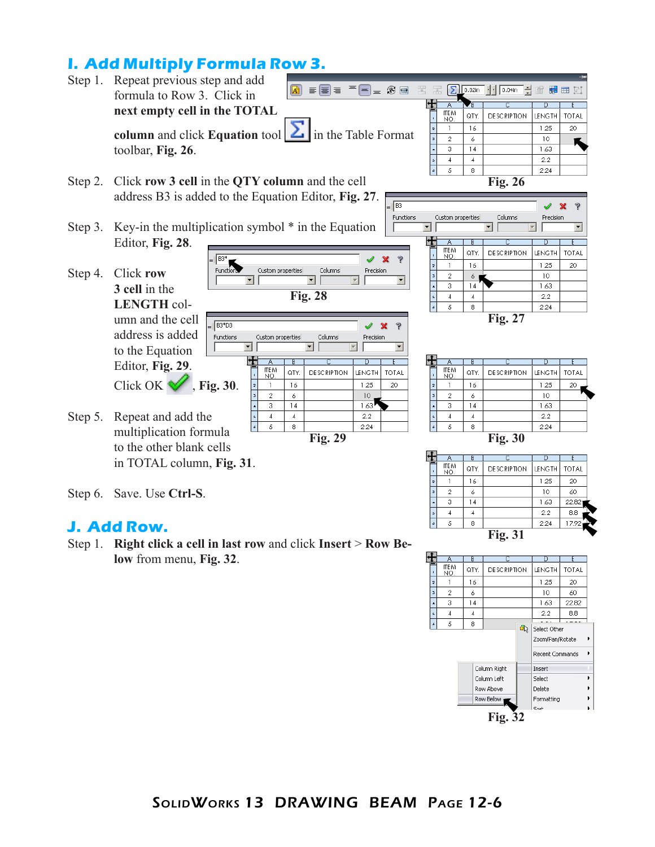# **I. Add Multiply Formula Row 3.**



#### **J. Add Row.**

Step 1. **Right click a cell in last row** and click **Insert** > **Row Below** from menu, **Fig. 32**.



 $2.2$ 

2.24

 $_{\rm 8.8}$ 

1792

 $\overline{4}$ 

 $\overline{\mathcal{L}}$  $\overline{\mathfrak{s}}$   $\sqrt{4}$ 

 $\overline{\bf 8}$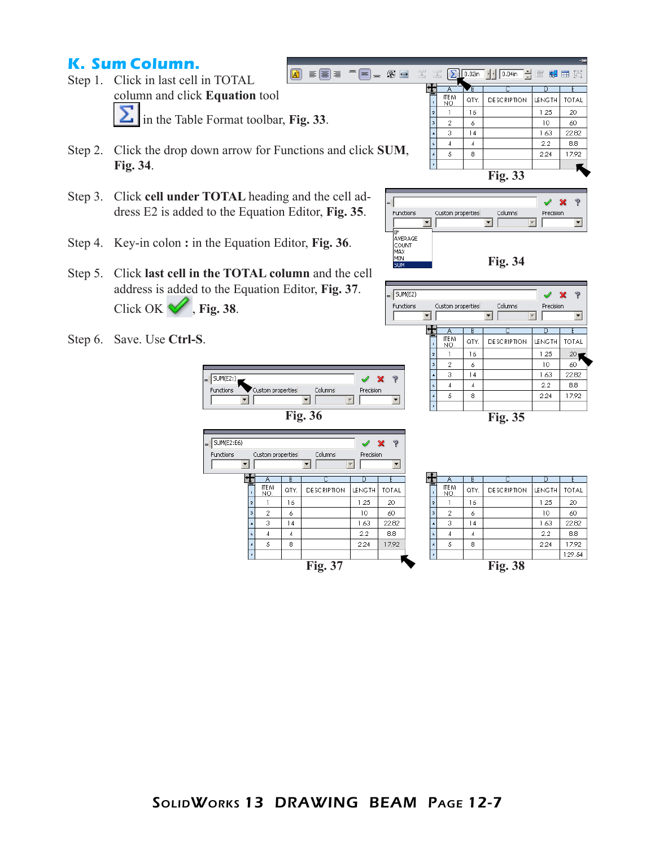## **K. Sum Column.**

- Step 1. Click in last cell in TOTAL column and click **Equation** tool in the Table Format toolbar, **Fig. 33**.
- Step 2. Click the drop down arrow for Functions and click **SUM**, **Fig. 34**.
- Step 3. Click **cell under TOTAL** heading and the cell address E2 is added to the Equation Editor, **Fig. 35**.
- Step 4. Key-in colon **:** in the Equation Editor, **Fig. 36**.
- Step 5. Click **last cell in the TOTAL column** and the cell address is added to the Equation Editor, **Fig. 37**. Click OK  $\mathscr{\mathscr{C}}$ , Fig. 38.
- Step 6. Save. Use **Ctrl-S**.



 $\mathbf{I}$  $\sqrt{2}$ 

 $\overline{4}$ 

 $\overline{\cdot}$  $\overline{\overline{3}}$ 

 $\frac{1}{6}$  $\sqrt{5}$ 

7

 $\acute{\rm{o}}$ 

 $\overline{14}$ 

 $\sqrt{4}$ 

 $^{\circ}$ 



Columns

⊺ ⊡

P

 $\overline{\mathbf{r}}$ 

v  $\mathbf x$ 

 $\overline{D}$ 

 $\overline{\mathbf{r}}$ 

Precision

|                    | n      |       |                | Α                       | В    |                    | D             |              |
|--------------------|--------|-------|----------------|-------------------------|------|--------------------|---------------|--------------|
| <b>DESCRIPTION</b> | LENGTH | TOTAL |                | ITE <sub>M</sub><br>NO. | QTY. | <b>DESCRIPTION</b> | <b>LENGTH</b> | <b>TOTAL</b> |
|                    | 1.25   | 20    | $\overline{z}$ |                         | 16   |                    | 1.25          | 20           |
|                    | 10     | 60    | 3              | $\overline{2}$          | 6    |                    | 10            | 60           |
|                    | 1.63   | 22.82 | ٠              | 3                       | 14   |                    | 1.63          | 22.82        |
|                    | 2.2    | 8.8   | s.             | $\overline{4}$          | 4    |                    | 2.2           | 8.8          |
|                    | 2.24   | 17.92 | s              | 5                       | 8    |                    | 2.24          | 17.92        |
|                    |        |       | z.             |                         |      |                    |               | 129.54       |
| <b>Fig. 37</b>     |        |       |                |                         |      | <b>Fig. 38</b>     |               |              |





Custom properties

 $\overline{B}$ 

SUM(E2)

Functions

⊡

 $\pm$  $\mathbb{A}$ 

SolidWorks 13 DRAWING BEAM Page 12-7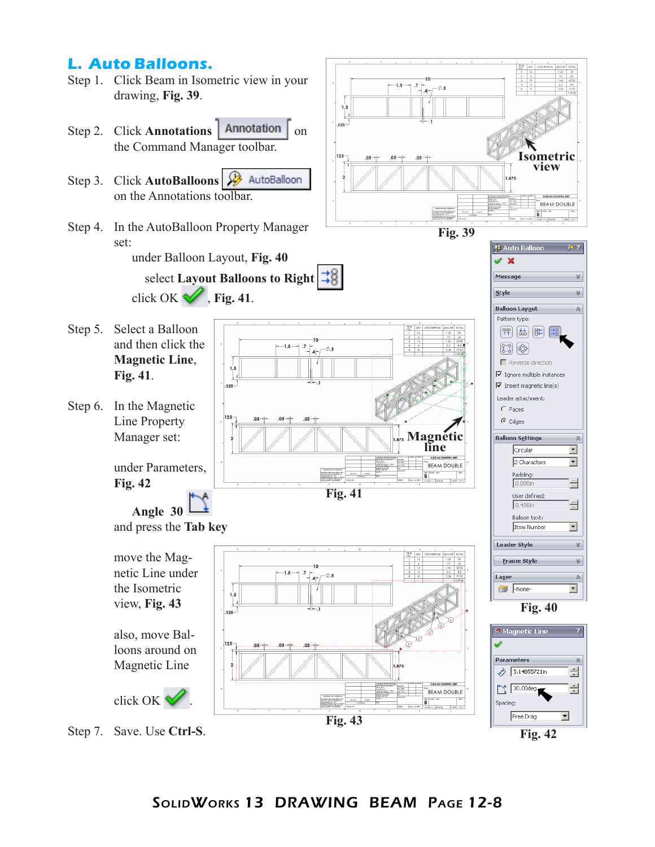## **L. Auto Balloons.**

- Step 1. Click Beam in Isometric view in your drawing, **Fig. 39**.
- Step 2. Click **Annotations Annotation**  $\lceil$  on the Command Manager toolbar.
- Step 3. Click **AutoBalloons**  on the Annotations toolbar.
- Step 4. In the AutoBalloon Property Manager set:
	- under Balloon Layout, **Fig. 40** select **Layout Balloons to Right**  click OK  $\mathcal{V}$ , Fig. 41.

 $1.5$ 

J.  $125$ 

195

 $-1.5$ 

 $\mathcal{I}_{-|A| \sim \int}$   $\phi$  .5

- Step 5. Select a Balloon and then click the **Magnetic Line**, **Fig. 41**.
- Step 6. In the Magnetic Line Property Manager set:

under Parameters, **Fig. 42**

**Angle 30**  and press the **Tab key**

move the Magnetic Line under the Isometric  $1.5$ view, **Fig. 43** J. .<br>۱9۶۰ also, move Bal-

loons around on Magnetic Line



Step 7. Save. Use **Ctrl-S**.





**Magnetic line**

BEAM DOUBLE

SOURCE PROFIE SHEETON

CUDACOUNTRY.NET

**BEAM DOUBLE B**<br>B<br>south work send







**Fig. 43**

**Fig. 41**

10  $\frac{7}{14}$ 

 $-0.5$ 

 $-1.5$